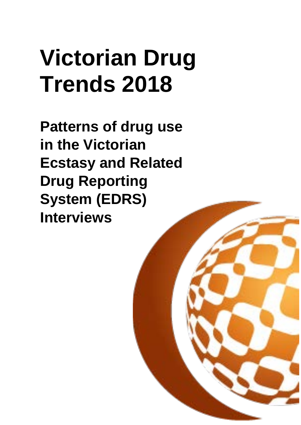# **Victorian Drug Trends 2018**

**Patterns of drug use in the Victorian Ecstasy and Related Drug Reporting System (EDRS) Interviews**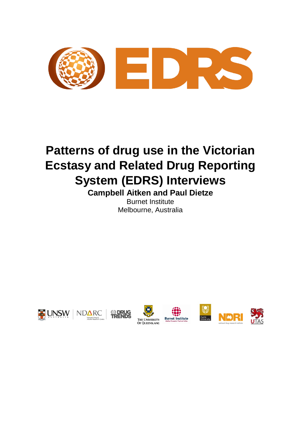

## **Patterns of drug use in the Victorian Ecstasy and Related Drug Reporting System (EDRS) Interviews**

**Campbell Aitken and Paul Dietze** Burnet Institute Melbourne, Australia













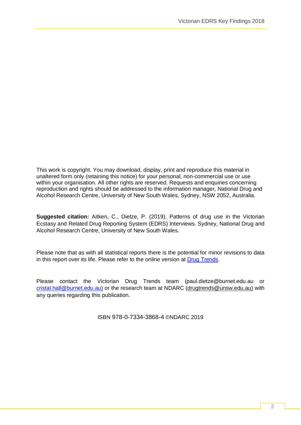This work is copyright. You may download, display, print and reproduce this material in unaltered form only (retaining this notice) for your personal, non-commercial use or use within your organisation. All other rights are reserved. Requests and enquiries concerning reproduction and rights should be addressed to the information manager, National Drug and Alcohol Research Centre, University of New South Wales, Sydney, NSW 2052, Australia.

**Suggested citation:** Aitken, C., Dietze, P. (2019). Patterns of drug use in the Victorian Ecstasy and Related Drug Reporting System (EDRS) Interviews. Sydney, National Drug and Alcohol Research Centre, University of New South Wales.

Please note that as with all statistical reports there is the potential for minor revisions to data in this report over its life. Please refer to the online version at [Drug Trends.](https://ndarc.med.unsw.edu.au/program/drug-trends)

Please contact the Victorian Drug Trends team (paul.dietze@burnet.edu.au or [cristal.hall@burnet.edu.au\)](mailto:cristal.hall@burnet.edu.au) or the research team at NDARC [\(drugtrends@unsw.edu.au\)](mailto:drugtrends@unsw.edu.au) with any queries regarding this publication.

ISBN 978-0-7334-3868-4 ©NDARC 2019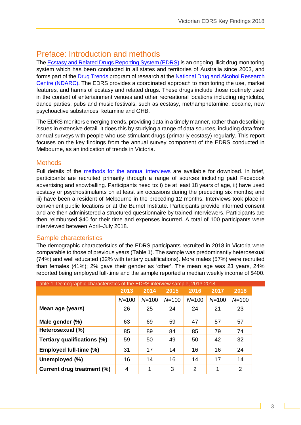## Preface: Introduction and methods

Th[e Ecstasy and Related Drugs Reporting System \(EDRS\)](https://ndarc.med.unsw.edu.au/project/ecstasy-and-related-drugs-reporting-system-edrs) is an ongoing illicit drug monitoring system which has been conducted in all states and territories of Australia since 2003, and forms part of the [Drug Trends](https://ndarc.med.unsw.edu.au/program/drug-trends) program of research at the [National Drug and Alcohol Research](https://ndarc.med.unsw.edu.au/)  [Centre \(NDARC\).](https://ndarc.med.unsw.edu.au/) The EDRS provides a coordinated approach to monitoring the use, market features, and harms of ecstasy and related drugs. These drugs include those routinely used in the context of entertainment venues and other recreational locations including nightclubs, dance parties, pubs and music festivals, such as ecstasy, methamphetamine, cocaine, new psychoactive substances, ketamine and GHB.

The EDRS monitors emerging trends, providing data in a timely manner, rather than describing issues in extensive detail. It does this by studying a range of data sources, including data from annual surveys with people who use stimulant drugs (primarily ecstasy) regularly. This report focuses on the key findings from the annual survey component of the EDRS conducted in Melbourne, as an indication of trends in Victoria.

## **Methods**

Full details of the [methods for the annual interviews](https://ndarc.med.unsw.edu.au/sites/default/files/ndarc/resources/National%20EDRS%20Interviews%20Method%20and%20Background.pdf) are available for download. In brief, participants are recruited primarily through a range of sources including paid Facebook advertising and snowballing. Participants need to: i) be at least 18 years of age, ii) have used ecstasy or psychostimulants on at least six occasions during the preceding six months; and iii) have been a resident of Melbourne in the preceding 12 months. Interviews took place in convenient public locations or at the Burnet Institute. Participants provide informed consent and are then administered a structured questionnaire by trained interviewers. Participants are then reimbursed \$40 for their time and expenses incurred. A total of 100 participants were interviewed between April–July 2018.

## Sample characteristics

The demographic characteristics of the EDRS participants recruited in 2018 in Victoria were comparable to those of previous years (Table 1). The sample was predominantly heterosexual (74%) and well educated (32% with tertiary qualifications). More males (57%) were recruited than females (41%); 2% gave their gender as 'other'. The mean age was 23 years, 24% reported being employed full-time and the sample reported a median weekly income of \$400.

| Table 1: Demographic characteristics of the EDRS interview sample, 2013-2018 |           |           |           |           |           |           |  |  |
|------------------------------------------------------------------------------|-----------|-----------|-----------|-----------|-----------|-----------|--|--|
|                                                                              | 2013      | 2014      | 2015      | 2016      | 2017      | 2018      |  |  |
|                                                                              | $N = 100$ | $N = 100$ | $N = 100$ | $N = 100$ | $N = 100$ | $N = 100$ |  |  |
| Mean age (years)                                                             | 26        | 25        | 24        | 24        | 21        | 23        |  |  |
| Male gender (%)                                                              | 63        | 69        | 59        | 47        | 57        | 57        |  |  |
| Heterosexual (%)                                                             | 85        | 89        | 84        | 85        | 79        | 74        |  |  |
| <b>Tertiary qualifications (%)</b>                                           | 59        | 50        | 49        | 50        | 42        | 32        |  |  |
| Employed full-time (%)                                                       | 31        | 17        | 14        | 16        | 16        | 24        |  |  |
| Unemployed (%)                                                               | 16        | 14        | 16        | 14        | 17        | 14        |  |  |
| Current drug treatment (%)                                                   | 4         | 1         | 3         | 2         | 1         | 2         |  |  |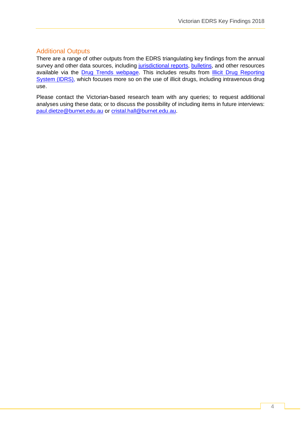## Additional Outputs

There are a range of other outputs from the EDRS triangulating key findings from the annual survey and other data sources, including [jurisdictional reports,](https://ndarc.med.unsw.edu.au/resource-type/drug-trends-jurisdictional-reports) [bulletins,](https://ndarc.med.unsw.edu.au/resource-type/drug-trends-bulletins) and other resources available via the [Drug Trends webpage.](https://ndarc.med.unsw.edu.au/program/drug-trends) This includes results from **Illicit Drug Reporting** [System \(IDRS\),](https://ndarc.med.unsw.edu.au/project/illicit-drug-reporting-system-idrs-0) which focuses more so on the use of illicit drugs, including intravenous drug use.

Please contact the Victorian-based research team with any queries; to request additional analyses using these data; or to discuss the possibility of including items in future interviews: [paul.dietze@burnet.edu.au](mailto:paul.dietze@burnet.edu.au) or [cristal.hall@burnet.edu.au.](mailto:cristal.hall@burnet.edu.au)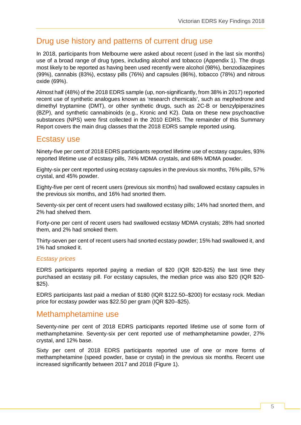## Drug use history and patterns of current drug use

In 2018, participants from Melbourne were asked about recent (used in the last six months) use of a broad range of drug types, including alcohol and tobacco (Appendix 1). The drugs most likely to be reported as having been used recently were alcohol (98%), benzodiazepines (99%), cannabis (83%), ecstasy pills (76%) and capsules (86%), tobacco (78%) and nitrous oxide (69%).

Almost half (48%) of the 2018 EDRS sample (up, non-significantly, from 38% in 2017) reported recent use of synthetic analogues known as 'research chemicals', such as mephedrone and dimethyl tryptamine (DMT), or other synthetic drugs, such as 2C-B or benzylpiperazines (BZP), and synthetic cannabinoids (e.g., Kronic and K2). Data on these new psychoactive substances (NPS) were first collected in the 2010 EDRS. The remainder of this Summary Report covers the main drug classes that the 2018 EDRS sample reported using.

## Ecstasy use

Ninety-five per cent of 2018 EDRS participants reported lifetime use of ecstasy capsules, 93% reported lifetime use of ecstasy pills, 74% MDMA crystals, and 68% MDMA powder.

Eighty-six per cent reported using ecstasy capsules in the previous six months, 76% pills, 57% crystal, and 45% powder.

Eighty-five per cent of recent users (previous six months) had swallowed ecstasy capsules in the previous six months, and 16% had snorted them.

Seventy-six per cent of recent users had swallowed ecstasy pills; 14% had snorted them, and 2% had shelved them.

Forty-one per cent of recent users had swallowed ecstasy MDMA crystals; 28% had snorted them, and 2% had smoked them.

Thirty-seven per cent of recent users had snorted ecstasy powder; 15% had swallowed it, and 1% had smoked it.

## *Ecstasy prices*

EDRS participants reported paying a median of \$20 (IQR \$20-\$25) the last time they purchased an ecstasy pill. For ecstasy capsules, the median price was also \$20 (IQR \$20- \$25).

EDRS participants last paid a median of \$180 (IQR \$122.50–\$200) for ecstasy rock. Median price for ecstasy powder was \$22.50 per gram (IQR \$20–\$25).

## Methamphetamine use

Seventy-nine per cent of 2018 EDRS participants reported lifetime use of some form of methamphetamine. Seventy-six per cent reported use of methamphetamine powder, 27% crystal, and 12% base.

Sixty per cent of 2018 EDRS participants reported use of one or more forms of methamphetamine (speed powder, base or crystal) in the previous six months. Recent use increased significantly between 2017 and 2018 (Figure 1).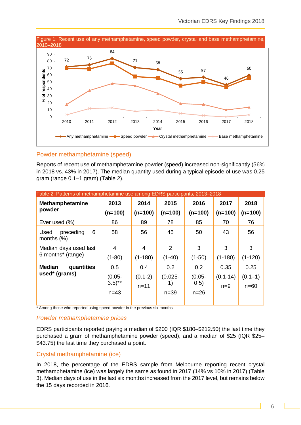

## Powder methamphetamine (speed)

Reports of recent use of methamphetamine powder (speed) increased non-significantly (56% in 2018 vs. 43% in 2017). The median quantity used during a typical episode of use was 0.25 gram (range 0.1–1 gram) (Table 2).

| Table 2: Patterns of methamphetamine use among EDRS participants, 2013–2018 |                                            |                              |                                   |                                    |                               |                                 |  |  |
|-----------------------------------------------------------------------------|--------------------------------------------|------------------------------|-----------------------------------|------------------------------------|-------------------------------|---------------------------------|--|--|
| <b>Methamphetamine</b><br>powder                                            | 2013<br>$(n=100)$                          | 2014<br>$(n=100)$            | 2015<br>$(n=100)$                 | 2016<br>$(n=100)$                  | 2017<br>$(n=100)$             | 2018<br>$(n=100)$               |  |  |
| Ever used (%)                                                               | 86                                         | 89                           | 78                                | 85                                 | 70                            | 76                              |  |  |
| 6<br>preceding<br>Used<br>months $(\%)$                                     | 58                                         | 56                           | 45                                | 50                                 | 43                            | 56                              |  |  |
| Median days used last<br>6 months* (range)                                  | 4<br>$(1-80)$                              | 4<br>$(1 - 180)$             | 2<br>$(1-40)$                     | 3<br>$(1-50)$                      | 3<br>$(1-180)$                | 3<br>$(1-120)$                  |  |  |
| <b>Median</b><br>quantities<br>used* (grams)                                | 0.5<br>$(0.05 -$<br>$(3.5)$ **<br>$n = 43$ | 0.4<br>$(0.1-2)$<br>$n = 11$ | 0.2<br>$(0.025 -$<br>1)<br>$n=39$ | 0.2<br>$(0.05 -$<br>0.5)<br>$n=26$ | 0.35<br>$(0.1 - 14)$<br>$n=9$ | 0.25<br>$(0.1 - 1)$<br>$n = 60$ |  |  |

\* Among those who reported using speed powder in the previous six months

## *Powder methamphetamine prices*

EDRS participants reported paying a median of \$200 (IQR \$180–\$212.50) the last time they purchased a gram of methamphetamine powder (speed), and a median of \$25 (IQR \$25– \$43.75) the last time they purchased a point.

#### Crystal methamphetamine (ice)

In 2018, the percentage of the EDRS sample from Melbourne reporting recent crystal methamphetamine (ice) was largely the same as found in 2017 (14% vs 10% in 2017) (Table 3). Median days of use in the last six months increased from the 2017 level, but remains below the 15 days recorded in 2016.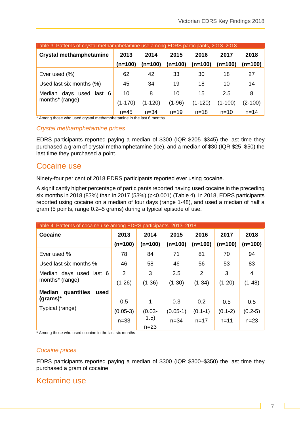| Table 3: Patterns of crystal methamphetamine use among EDRS participants, 2013-2018 |           |           |          |           |           |           |  |  |  |
|-------------------------------------------------------------------------------------|-----------|-----------|----------|-----------|-----------|-----------|--|--|--|
| <b>Crystal methamphetamine</b>                                                      | 2013      | 2014      | 2015     | 2016      | 2017      | 2018      |  |  |  |
|                                                                                     | (n=100)   | (n=100)   | (n=100)  | $(n=100)$ | (n=100)   | (n=100)   |  |  |  |
| Ever used (%)                                                                       | 62        | 42        | 33       | 30        | 18        | 27        |  |  |  |
| Used last six months (%)                                                            | 45        | 34        | 19       | 18        | 10        | 14        |  |  |  |
| Median days used<br>last 6                                                          | 10        | 8         | 10       | 15        | 2.5       | 8         |  |  |  |
| months* (range)                                                                     | $(1-170)$ | $(1-120)$ | $(1-96)$ | $(1-120)$ | $(1-100)$ | $(2-100)$ |  |  |  |
|                                                                                     | $n = 45$  | $n = 34$  | $n = 19$ | $n = 18$  | $n = 10$  | $n = 14$  |  |  |  |

\* Among those who used crystal methamphetamine in the last 6 months

#### *Crystal methamphetamine prices*

EDRS participants reported paying a median of \$300 (IQR \$205–\$345) the last time they purchased a gram of crystal methamphetamine (ice), and a median of \$30 (IQR \$25–\$50) the last time they purchased a point.

## Cocaine use

Ninety-four per cent of 2018 EDRS participants reported ever using cocaine.

A significantly higher percentage of participants reported having used cocaine in the preceding six months in 2018 (83%) than in 2017 (53%) (p<0.001) (Table 4). In 2018, EDRS participants reported using cocaine on a median of four days (range 1-48), and used a median of half a gram (5 points, range 0.2–5 grams) during a typical episode of use.

| Table 4: Patterns of cocaine use among EDRS participants, 2013-2018 |                |           |            |           |           |           |  |  |  |
|---------------------------------------------------------------------|----------------|-----------|------------|-----------|-----------|-----------|--|--|--|
| <b>Cocaine</b>                                                      | 2013           | 2014      | 2015       | 2016      | 2017      | 2018      |  |  |  |
|                                                                     | $(n=100)$      | $(n=100)$ | $(n=100)$  | $(n=100)$ | $(n=100)$ | (n=100)   |  |  |  |
| Ever used %                                                         | 78             | 84        | 71         | 81        | 70        | 94        |  |  |  |
| Used last six months %                                              | 46             | 58        | 46         | 56        | 53        | 83        |  |  |  |
| Median days used last 6                                             | $\overline{2}$ | 3         | 2.5        | 2         | 3         | 4         |  |  |  |
| months* (range)                                                     | $(1-26)$       | $(1-36)$  | $(1-30)$   | $(1-34)$  | $(1-20)$  | (1-48)    |  |  |  |
| quantities<br><b>Median</b><br>used                                 |                |           |            |           |           |           |  |  |  |
| $(grams)*$                                                          | 0.5            | 1         | 0.3        | 0.2       | 0.5       | 0.5       |  |  |  |
| Typical (range)                                                     | $(0.05-3)$     | $(0.03 -$ | $(0.05-1)$ | $(0.1-1)$ | $(0.1-2)$ | $(0.2-5)$ |  |  |  |
|                                                                     | $n=33$         | (1.5)     | $n = 34$   | $n = 17$  | $n = 11$  | $n = 23$  |  |  |  |
|                                                                     |                | $n = 23$  |            |           |           |           |  |  |  |

\* Among those who used cocaine in the last six months

#### *Cocaine prices*

EDRS participants reported paying a median of \$300 (IQR \$300–\$350) the last time they purchased a gram of cocaine.

## Ketamine use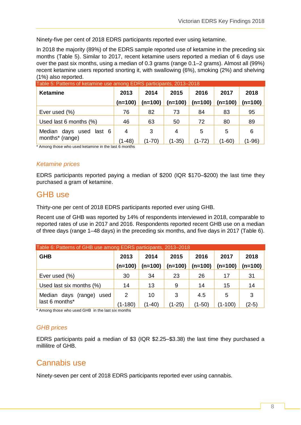Ninety-five per cent of 2018 EDRS participants reported ever using ketamine.

In 2018 the majority (89%) of the EDRS sample reported use of ketamine in the preceding six months (Table 5). Similar to 2017, recent ketamine users reported a median of 6 days use over the past six months, using a median of 0.3 grams (range 0.1–2 grams). Almost all (99%) recent ketamine users reported snorting it, with swallowing (6%), smoking (2%) and shelving (1%) also reported.

| <b>Ketamine</b>           | 2013      | 2014      | 2015      | 2016      | 2017      | 2018     |
|---------------------------|-----------|-----------|-----------|-----------|-----------|----------|
|                           | $(n=100)$ | $(n=100)$ | $(n=100)$ | $(n=100)$ | $(n=100)$ | (n=100)  |
| Ever used (%)             | 76        | 82        | 73        | 84        | 83        | 95       |
| Used last 6 months $(\%)$ | 46        | 63        | 50        | 72        | 80        | 89       |
| Median days used last 6   | 4         | 3         | 4         | 5         | 5         | 6        |
| months* (range)           | $(1-48)$  | $(1-70)$  | $(1-35)$  | $(1-72)$  | (1-60)    | $(1-96)$ |

\* Among those who used ketamine in the last 6 months

## *Ketamine prices*

EDRS participants reported paying a median of \$200 (IQR \$170–\$200) the last time they purchased a gram of ketamine.

## GHB use

Thirty-one per cent of 2018 EDRS participants reported ever using GHB.

Recent use of GHB was reported by 14% of respondents interviewed in 2018, comparable to reported rates of use in 2017 and 2016. Respondents reported recent GHB use on a median of three days (range 1–48 days) in the preceding six months, and five days in 2017 (Table 6).

| Table 6: Patterns of GHB use among EDRS participants, 2013-2018 |             |           |           |           |           |           |  |  |  |
|-----------------------------------------------------------------|-------------|-----------|-----------|-----------|-----------|-----------|--|--|--|
| <b>GHB</b>                                                      | 2013        | 2014      | 2015      | 2016      | 2017      | 2018      |  |  |  |
|                                                                 | $(n=100)$   | $(n=100)$ | $(n=100)$ | $(n=100)$ | $(n=100)$ | $(n=100)$ |  |  |  |
| Ever used (%)                                                   | 30          | 34        | 23        | 26        | 17        | 31        |  |  |  |
| Used last six months (%)                                        | 14          | 13        | 9         | 14        | 15        | 14        |  |  |  |
| Median days<br>(range)<br>used                                  | 2           | 10        | 3         | 4.5       | 5         | 3         |  |  |  |
| last 6 months*                                                  | $(1 - 180)$ | $(1-40)$  | $(1-25)$  | $(1-50)$  | (1-100)   | $(2-5)$   |  |  |  |

\* Among those who used GHB in the last six months

## *GHB prices*

EDRS participants paid a median of \$3 (IQR \$2.25–\$3.38) the last time they purchased a millilitre of GHB.

## Cannabis use

Ninety-seven per cent of 2018 EDRS participants reported ever using cannabis.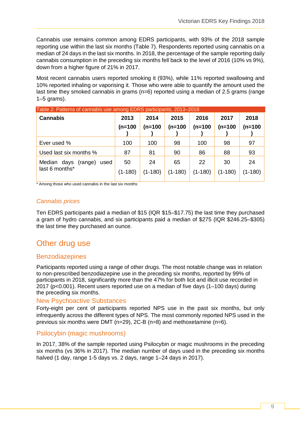Cannabis use remains common among EDRS participants, with 93% of the 2018 sample reporting use within the last six months (Table 7). Respondents reported using cannabis on a median of 24 days in the last six months. In 2018, the percentage of the sample reporting daily cannabis consumption in the preceding six months fell back to the level of 2016 (10% vs 9%), down from a higher figure of 21% in 2017.

Most recent cannabis users reported smoking it (93%), while 11% reported swallowing and 10% reported inhaling or vaporising it. Those who were able to quantify the amount used the last time they smoked cannabis in grams  $(n=6)$  reported using a median of 2.5 grams (range 1–5 grams).

| 2013            | 2014              | 2015            | 2016            | 2017            | 2018            |
|-----------------|-------------------|-----------------|-----------------|-----------------|-----------------|
| $(n=100)$       | $(n=100$          | $(n=100)$       | $(n=100)$       | $(n=100)$       | $(n=100)$       |
| 100             | 100               | 98              | 100             | 98              | 97              |
| 87              | 81                | 90              | 86              | 88              | 93              |
| 50<br>$(1-180)$ | 24<br>$(1 - 180)$ | 65<br>$(1-180)$ | 22<br>$(1-180)$ | 30<br>$(1-180)$ | 24<br>$(1-180)$ |
|                 |                   |                 |                 |                 |                 |

Table 2: Patterns of cannabis use among EDRS participants, 2013–2018

\* Among those who used cannabis in the last six months

## *Cannabis prices*

Ten EDRS participants paid a median of \$15 (IQR \$15–\$17.75) the last time they purchased a gram of hydro cannabis, and six participants paid a median of \$275 (IQR \$246.25–\$305) the last time they purchased an ounce.

## Other drug use

## **Benzodiazepines**

Participants reported using a range of other drugs. The most notable change was in relation to non-prescribed benzodiazepine use in the preceding six months, reported by 99% of participants in 2018, significantly more than the 47% for both licit and illicit use recorded in 2017 (p<0.001). Recent users reported use on a median of five days (1–100 days) during the preceding six months.

#### New Psychoactive Substances

Forty-eight per cent of participants reported NPS use in the past six months, but only infrequently across the different types of NPS. The most commonly reported NPS used in the previous six months were DMT (n=29), 2C-B (n=8) and methoxetamine (n=6).

## Psilocybin (magic mushrooms)

In 2017, 38% of the sample reported using Psilocybin or magic mushrooms in the preceding six months (vs 36% in 2017). The median number of days used in the preceding six months halved (1 day, range 1-5 days vs. 2 days, range 1–24 days in 2017).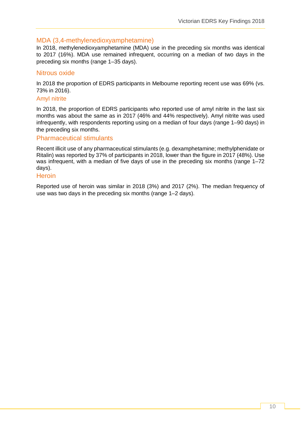## MDA (3,4-methylenedioxyamphetamine)

In 2018, methylenedioxyamphetamine (MDA) use in the preceding six months was identical to 2017 (16%). MDA use remained infrequent, occurring on a median of two days in the preceding six months (range 1–35 days).

## Nitrous oxide

In 2018 the proportion of EDRS participants in Melbourne reporting recent use was 69% (vs. 73% in 2016).

#### Amyl nitrite

In 2018, the proportion of EDRS participants who reported use of amyl nitrite in the last six months was about the same as in 2017 (46% and 44% respectively). Amyl nitrite was used infrequently, with respondents reporting using on a median of four days (range 1–90 days) in the preceding six months.

## Pharmaceutical stimulants

Recent illicit use of any pharmaceutical stimulants (e.g. dexamphetamine; methylphenidate or Ritalin) was reported by 37% of participants in 2018, lower than the figure in 2017 (48%). Use was infrequent, with a median of five days of use in the preceding six months (range 1–72 days).

#### **Heroin**

Reported use of heroin was similar in 2018 (3%) and 2017 (2%). The median frequency of use was two days in the preceding six months (range 1–2 days).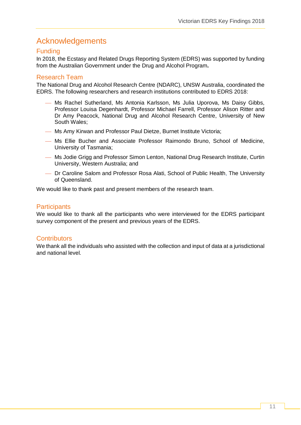## Acknowledgements

## Funding

In 2018, the Ecstasy and Related Drugs Reporting System (EDRS) was supported by funding from the Australian Government under the Drug and Alcohol Program**.**

## Research Team

The National Drug and Alcohol Research Centre (NDARC), UNSW Australia, coordinated the EDRS. The following researchers and research institutions contributed to EDRS 2018:

- Ms Rachel Sutherland, Ms Antonia Karlsson, Ms Julia Uporova, Ms Daisy Gibbs, Professor Louisa Degenhardt, Professor Michael Farrell, Professor Alison Ritter and Dr Amy Peacock, National Drug and Alcohol Research Centre, University of New South Wales;
- Ms Amy Kirwan and Professor Paul Dietze, Burnet Institute Victoria;
- Ms Ellie Bucher and Associate Professor Raimondo Bruno, School of Medicine, University of Tasmania;
- Ms Jodie Grigg and Professor Simon Lenton, National Drug Research Institute, Curtin University, Western Australia; and
- Dr Caroline Salom and Professor Rosa Alati, School of Public Health, The University of Queensland.

We would like to thank past and present members of the research team.

## **Participants**

We would like to thank all the participants who were interviewed for the EDRS participant survey component of the present and previous years of the EDRS.

## **Contributors**

We thank all the individuals who assisted with the collection and input of data at a jurisdictional and national level.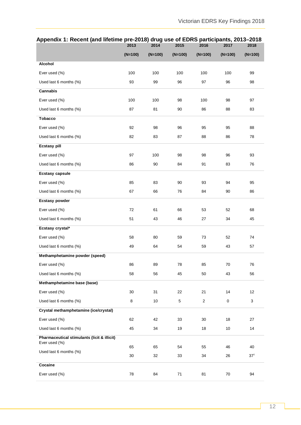## **Appendix 1: Recent (and lifetime pre-2018) drug use of EDRS participants, 2013–2018**

|                                                              | 2013      | 2014      | 2015      | 2016                    | 2017      | 2018            |
|--------------------------------------------------------------|-----------|-----------|-----------|-------------------------|-----------|-----------------|
|                                                              | $(N=100)$ | $(N=100)$ | $(N=100)$ | $(N=100)$               | $(N=100)$ | $(N=100)$       |
| Alcohol                                                      |           |           |           |                         |           |                 |
| Ever used (%)                                                | 100       | 100       | 100       | 100                     | 100       | 99              |
| Used last 6 months (%)                                       | 93        | 99        | 96        | 97                      | 96        | 98              |
| Cannabis                                                     |           |           |           |                         |           |                 |
| Ever used (%)                                                | 100       | 100       | 98        | 100                     | 98        | 97              |
| Used last 6 months (%)                                       | 87        | 81        | 90        | 86                      | 88        | 83              |
| <b>Tobacco</b>                                               |           |           |           |                         |           |                 |
| Ever used (%)                                                | 92        | 98        | 96        | 95                      | 95        | 88              |
| Used last 6 months (%)                                       | 82        | 83        | 87        | 88                      | 86        | 78              |
| <b>Ecstasy pill</b>                                          |           |           |           |                         |           |                 |
| Ever used (%)                                                | 97        | 100       | 98        | 98                      | 96        | 93              |
| Used last 6 months (%)                                       | 86        | 90        | 84        | 91                      | 83        | 76              |
| <b>Ecstasy capsule</b>                                       |           |           |           |                         |           |                 |
| Ever used (%)                                                | 85        | 83        | 90        | 93                      | 94        | 95              |
| Used last 6 months (%)                                       | 67        | 66        | 76        | 84                      | 90        | 86              |
| <b>Ecstasy powder</b>                                        |           |           |           |                         |           |                 |
| Ever used (%)                                                | 72        | 61        | 66        | 53                      | 52        | 68              |
| Used last 6 months (%)                                       | 51        | 43        | 46        | 27                      | 34        | 45              |
| Ecstasy crystal*                                             |           |           |           |                         |           |                 |
| Ever used (%)                                                | 58        | 80        | 59        | 73                      | 52        | 74              |
| Used last 6 months (%)                                       | 49        | 64        | 54        | 59                      | 43        | 57              |
| Methamphetamine powder (speed)                               |           |           |           |                         |           |                 |
| Ever used (%)                                                | 86        | 89        | 78        | 85                      | 70        | 76              |
| Used last 6 months (%)                                       | 58        | 56        | 45        | 50                      | 43        | 56              |
| Methamphetamine base (base)                                  |           |           |           |                         |           |                 |
| Ever used (%)                                                | 30        | 31        | 22        | 21                      | 14        | 12              |
| Used last 6 months (%)                                       | 8         | 10        | 5         | $\overline{\mathbf{c}}$ | $\pmb{0}$ | 3               |
| Crystal methamphetamine (ice/crystal)                        |           |           |           |                         |           |                 |
| Ever used (%)                                                | 62        | 42        | 33        | 30                      | 18        | 27              |
| Used last 6 months (%)                                       | 45        | 34        | 19        | 18                      | 10        | 14              |
| Pharmaceutical stimulants (licit & illicit)<br>Ever used (%) |           |           |           |                         |           |                 |
| Used last 6 months (%)                                       | 65        | 65        | 54        | 55                      | 46        | 40              |
|                                                              | 30        | 32        | 33        | 34                      | 26        | 37 <sup>†</sup> |
| Cocaine                                                      |           |           |           |                         |           |                 |
| Ever used (%)                                                | 78        | 84        | 71        | 81                      | 70        | 94              |